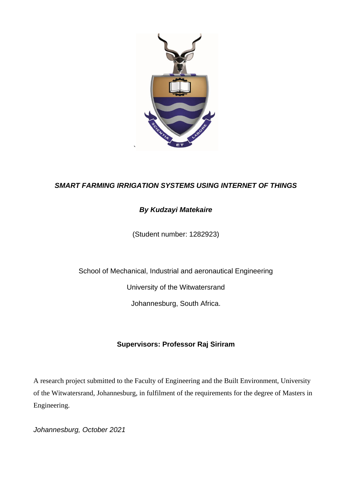

## *SMART FARMING IRRIGATION SYSTEMS USING INTERNET OF THINGS*

## *By Kudzayi Matekaire*

(Student number: 1282923)

School of Mechanical, Industrial and aeronautical Engineering

University of the Witwatersrand

Johannesburg, South Africa.

## **Supervisors: Professor Raj Siriram**

A research project submitted to the Faculty of Engineering and the Built Environment, University of the Witwatersrand, Johannesburg, in fulfilment of the requirements for the degree of Masters in Engineering.

*Johannesburg, October 2021*